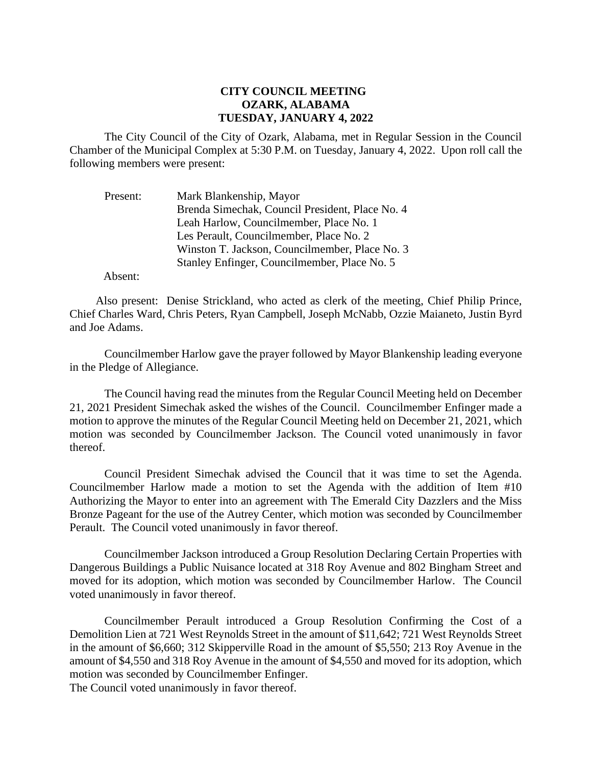## **CITY COUNCIL MEETING OZARK, ALABAMA TUESDAY, JANUARY 4, 2022**

The City Council of the City of Ozark, Alabama, met in Regular Session in the Council Chamber of the Municipal Complex at 5:30 P.M. on Tuesday, January 4, 2022. Upon roll call the following members were present:

| Present: | Mark Blankenship, Mayor                         |
|----------|-------------------------------------------------|
|          | Brenda Simechak, Council President, Place No. 4 |
|          | Leah Harlow, Councilmember, Place No. 1         |
|          | Les Perault, Councilmember, Place No. 2         |
|          | Winston T. Jackson, Councilmember, Place No. 3  |
|          | Stanley Enfinger, Councilmember, Place No. 5    |

Absent:

Also present: Denise Strickland, who acted as clerk of the meeting, Chief Philip Prince, Chief Charles Ward, Chris Peters, Ryan Campbell, Joseph McNabb, Ozzie Maianeto, Justin Byrd and Joe Adams.

Councilmember Harlow gave the prayer followed by Mayor Blankenship leading everyone in the Pledge of Allegiance.

The Council having read the minutes from the Regular Council Meeting held on December 21, 2021 President Simechak asked the wishes of the Council. Councilmember Enfinger made a motion to approve the minutes of the Regular Council Meeting held on December 21, 2021, which motion was seconded by Councilmember Jackson. The Council voted unanimously in favor thereof.

Council President Simechak advised the Council that it was time to set the Agenda. Councilmember Harlow made a motion to set the Agenda with the addition of Item #10 Authorizing the Mayor to enter into an agreement with The Emerald City Dazzlers and the Miss Bronze Pageant for the use of the Autrey Center, which motion was seconded by Councilmember Perault. The Council voted unanimously in favor thereof.

Councilmember Jackson introduced a Group Resolution Declaring Certain Properties with Dangerous Buildings a Public Nuisance located at 318 Roy Avenue and 802 Bingham Street and moved for its adoption, which motion was seconded by Councilmember Harlow. The Council voted unanimously in favor thereof.

Councilmember Perault introduced a Group Resolution Confirming the Cost of a Demolition Lien at 721 West Reynolds Street in the amount of \$11,642; 721 West Reynolds Street in the amount of \$6,660; 312 Skipperville Road in the amount of \$5,550; 213 Roy Avenue in the amount of \$4,550 and 318 Roy Avenue in the amount of \$4,550 and moved for its adoption, which motion was seconded by Councilmember Enfinger. The Council voted unanimously in favor thereof.